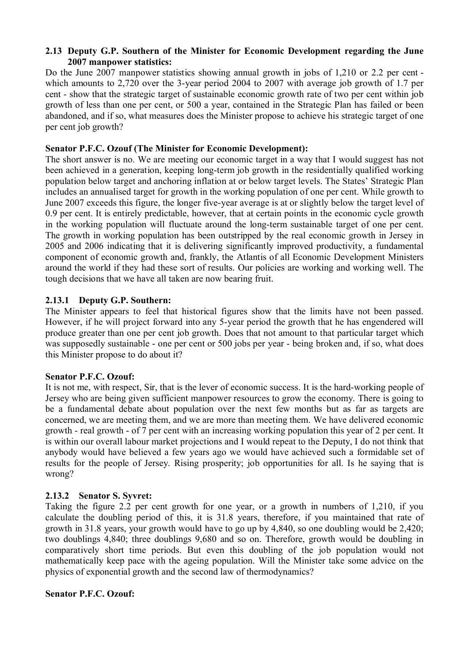#### **2.13 Deputy G.P. Southern of the Minister for Economic Development regarding the June 2007 manpower statistics:**

Do the June 2007 manpower statistics showing annual growth in jobs of 1,210 or 2.2 per cent which amounts to 2,720 over the 3-year period 2004 to 2007 with average job growth of 1.7 per cent - show that the strategic target of sustainable economic growth rate of two per cent within job growth of less than one per cent, or 500 a year, contained in the Strategic Plan has failed or been abandoned, and if so, what measures does the Minister propose to achieve his strategic target of one per cent job growth?

# **Senator P.F.C. Ozouf (The Minister for Economic Development):**

The short answer is no. We are meeting our economic target in a way that I would suggest has not been achieved in a generation, keeping long-term job growth in the residentially qualified working population below target and anchoring inflation at or below target levels. The States' Strategic Plan includes an annualised target for growth in the working population of one per cent. While growth to June 2007 exceeds this figure, the longer five-year average is at or slightly below the target level of 0.9 per cent. It is entirely predictable, however, that at certain points in the economic cycle growth in the working population will fluctuate around the long-term sustainable target of one per cent. The growth in working population has been outstripped by the real economic growth in Jersey in 2005 and 2006 indicating that it is delivering significantly improved productivity, a fundamental component of economic growth and, frankly, the Atlantis of all Economic Development Ministers around the world if they had these sort of results. Our policies are working and working well. The tough decisions that we have all taken are now bearing fruit.

# **2.13.1 Deputy G.P. Southern:**

The Minister appears to feel that historical figures show that the limits have not been passed. However, if he will project forward into any 5-year period the growth that he has engendered will produce greater than one per cent job growth. Does that not amount to that particular target which was supposedly sustainable - one per cent or 500 jobs per year - being broken and, if so, what does this Minister propose to do about it?

# **Senator P.F.C. Ozouf:**

It is not me, with respect, Sir, that is the lever of economic success. It is the hard-working people of Jersey who are being given sufficient manpower resources to grow the economy. There is going to be a fundamental debate about population over the next few months but as far as targets are concerned, we are meeting them, and we are more than meeting them. We have delivered economic growth - real growth - of 7 per cent with an increasing working population this year of 2 per cent. It is within our overall labour market projections and I would repeat to the Deputy, I do not think that anybody would have believed a few years ago we would have achieved such a formidable set of results for the people of Jersey. Rising prosperity; job opportunities for all. Is he saying that is wrong?

# **2.13.2 Senator S. Syvret:**

Taking the figure 2.2 per cent growth for one year, or a growth in numbers of 1,210, if you calculate the doubling period of this, it is 31.8 years, therefore, if you maintained that rate of growth in 31.8 years, your growth would have to go up by 4,840, so one doubling would be 2,420; two doublings 4,840; three doublings 9,680 and so on. Therefore, growth would be doubling in comparatively short time periods. But even this doubling of the job population would not mathematically keep pace with the ageing population. Will the Minister take some advice on the physics of exponential growth and the second law of thermodynamics?

# **Senator P.F.C. Ozouf:**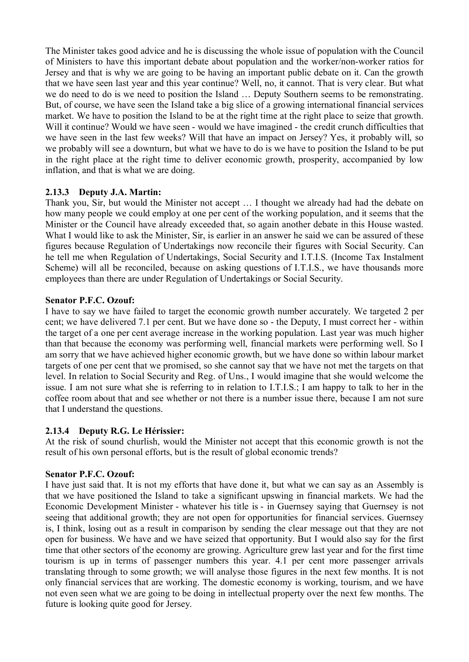The Minister takes good advice and he is discussing the whole issue of population with the Council of Ministers to have this important debate about population and the worker/non-worker ratios for Jersey and that is why we are going to be having an important public debate on it. Can the growth that we have seen last year and this year continue? Well, no, it cannot. That is very clear. But what we do need to do is we need to position the Island … Deputy Southern seems to be remonstrating. But, of course, we have seen the Island take a big slice of a growing international financial services market. We have to position the Island to be at the right time at the right place to seize that growth. Will it continue? Would we have seen - would we have imagined - the credit crunch difficulties that we have seen in the last few weeks? Will that have an impact on Jersey? Yes, it probably will, so we probably will see a downturn, but what we have to do is we have to position the Island to be put in the right place at the right time to deliver economic growth, prosperity, accompanied by low inflation, and that is what we are doing.

# **2.13.3 Deputy J.A. Martin:**

Thank you, Sir, but would the Minister not accept … I thought we already had had the debate on how many people we could employ at one per cent of the working population, and it seems that the Minister or the Council have already exceeded that, so again another debate in this House wasted. What I would like to ask the Minister, Sir, is earlier in an answer he said we can be assured of these figures because Regulation of Undertakings now reconcile their figures with Social Security. Can he tell me when Regulation of Undertakings, Social Security and I.T.I.S. (Income Tax Instalment Scheme) will all be reconciled, because on asking questions of I.T.I.S., we have thousands more employees than there are under Regulation of Undertakings or Social Security.

#### **Senator P.F.C. Ozouf:**

I have to say we have failed to target the economic growth number accurately. We targeted 2 per cent; we have delivered 7.1 per cent. But we have done so - the Deputy, I must correct her - within the target of a one per cent average increase in the working population. Last year was much higher than that because the economy was performing well, financial markets were performing well. So I am sorry that we have achieved higher economic growth, but we have done so within labour market targets of one per cent that we promised, so she cannot say that we have not met the targets on that level. In relation to Social Security and Reg. of Uns., I would imagine that she would welcome the issue. I am not sure what she is referring to in relation to I.T.I.S.; I am happy to talk to her in the coffee room about that and see whether or not there is a number issue there, because I am not sure that I understand the questions.

#### **2.13.4 Deputy R.G. Le Hérissier:**

At the risk of sound churlish, would the Minister not accept that this economic growth is not the result of his own personal efforts, but is the result of global economic trends?

# **Senator P.F.C. Ozouf:**

I have just said that. It is not my efforts that have done it, but what we can say as an Assembly is that we have positioned the Island to take a significant upswing in financial markets. We had the Economic Development Minister - whatever his title is - in Guernsey saying that Guernsey is not seeing that additional growth; they are not open for opportunities for financial services. Guernsey is, I think, losing out as a result in comparison by sending the clear message out that they are not open for business. We have and we have seized that opportunity. But I would also say for the first time that other sectors of the economy are growing. Agriculture grew last year and for the first time tourism is up in terms of passenger numbers this year. 4.1 per cent more passenger arrivals translating through to some growth; we will analyse those figures in the next few months. It is not only financial services that are working. The domestic economy is working, tourism, and we have not even seen what we are going to be doing in intellectual property over the next few months. The future is looking quite good for Jersey.